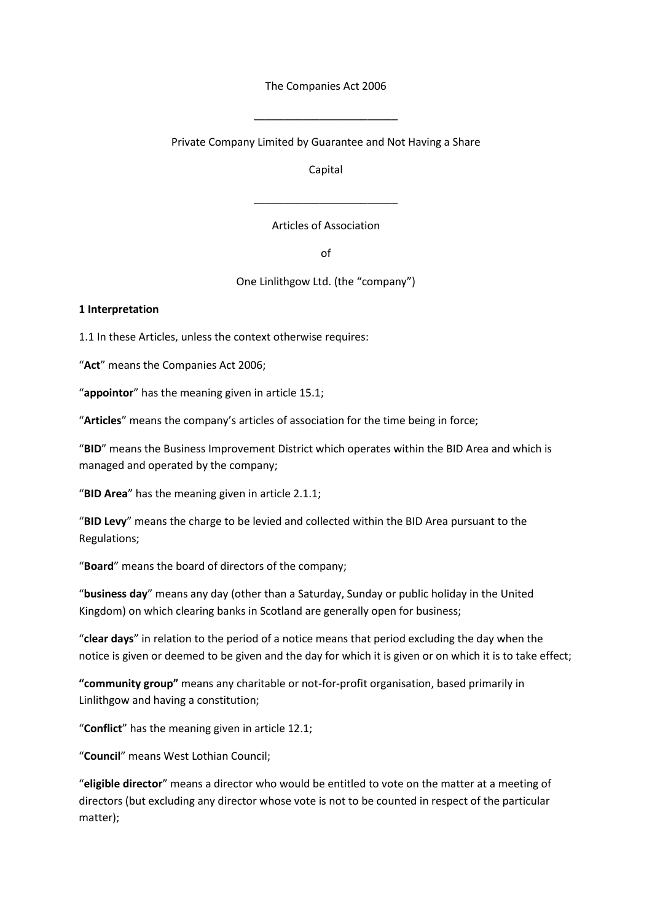### The Companies Act 2006

Private Company Limited by Guarantee and Not Having a Share

\_\_\_\_\_\_\_\_\_\_\_\_\_\_\_\_\_\_\_\_\_\_\_\_

Capital

Articles of Association

\_\_\_\_\_\_\_\_\_\_\_\_\_\_\_\_\_\_\_\_\_\_\_\_

of

One Linlithgow Ltd. (the "company")

### **1 Interpretation**

1.1 In these Articles, unless the context otherwise requires:

"**Act**" means the Companies Act 2006;

"**appointor**" has the meaning given in article 15.1;

"**Articles**" means the company's articles of association for the time being in force;

"**BID**" means the Business Improvement District which operates within the BID Area and which is managed and operated by the company;

"**BID Area**" has the meaning given in article 2.1.1;

"**BID Levy**" means the charge to be levied and collected within the BID Area pursuant to the Regulations;

"**Board**" means the board of directors of the company;

"**business day**" means any day (other than a Saturday, Sunday or public holiday in the United Kingdom) on which clearing banks in Scotland are generally open for business;

"**clear days**" in relation to the period of a notice means that period excluding the day when the notice is given or deemed to be given and the day for which it is given or on which it is to take effect;

**"community group"** means any charitable or not-for-profit organisation, based primarily in Linlithgow and having a constitution;

"**Conflict**" has the meaning given in article 12.1;

"**Council**" means West Lothian Council;

"**eligible director**" means a director who would be entitled to vote on the matter at a meeting of directors (but excluding any director whose vote is not to be counted in respect of the particular matter);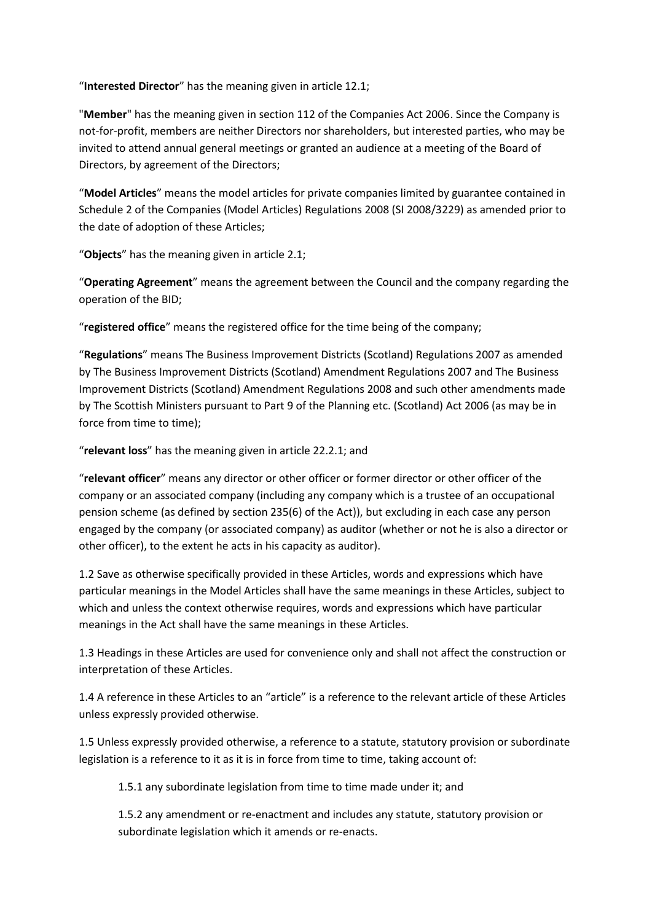"**Interested Director**" has the meaning given in article 12.1;

"**Member**" has the meaning given in section 112 of the Companies Act 2006. Since the Company is not-for-profit, members are neither Directors nor shareholders, but interested parties, who may be invited to attend annual general meetings or granted an audience at a meeting of the Board of Directors, by agreement of the Directors;

"**Model Articles**" means the model articles for private companies limited by guarantee contained in Schedule 2 of the Companies (Model Articles) Regulations 2008 (SI 2008/3229) as amended prior to the date of adoption of these Articles;

"**Objects**" has the meaning given in article 2.1;

"**Operating Agreement**" means the agreement between the Council and the company regarding the operation of the BID;

"**registered office**" means the registered office for the time being of the company;

"**Regulations**" means The Business Improvement Districts (Scotland) Regulations 2007 as amended by The Business Improvement Districts (Scotland) Amendment Regulations 2007 and The Business Improvement Districts (Scotland) Amendment Regulations 2008 and such other amendments made by The Scottish Ministers pursuant to Part 9 of the Planning etc. (Scotland) Act 2006 (as may be in force from time to time);

"**relevant loss**" has the meaning given in article 22.2.1; and

"**relevant officer**" means any director or other officer or former director or other officer of the company or an associated company (including any company which is a trustee of an occupational pension scheme (as defined by section 235(6) of the Act)), but excluding in each case any person engaged by the company (or associated company) as auditor (whether or not he is also a director or other officer), to the extent he acts in his capacity as auditor).

1.2 Save as otherwise specifically provided in these Articles, words and expressions which have particular meanings in the Model Articles shall have the same meanings in these Articles, subject to which and unless the context otherwise requires, words and expressions which have particular meanings in the Act shall have the same meanings in these Articles.

1.3 Headings in these Articles are used for convenience only and shall not affect the construction or interpretation of these Articles.

1.4 A reference in these Articles to an "article" is a reference to the relevant article of these Articles unless expressly provided otherwise.

1.5 Unless expressly provided otherwise, a reference to a statute, statutory provision or subordinate legislation is a reference to it as it is in force from time to time, taking account of:

1.5.1 any subordinate legislation from time to time made under it; and

1.5.2 any amendment or re-enactment and includes any statute, statutory provision or subordinate legislation which it amends or re-enacts.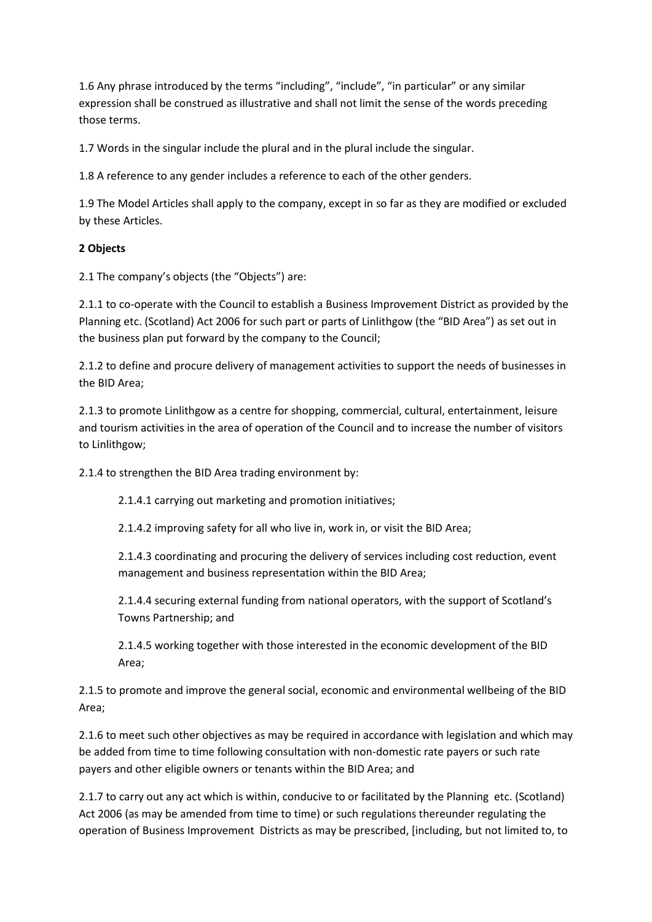1.6 Any phrase introduced by the terms "including", "include", "in particular" or any similar expression shall be construed as illustrative and shall not limit the sense of the words preceding those terms.

1.7 Words in the singular include the plural and in the plural include the singular.

1.8 A reference to any gender includes a reference to each of the other genders.

1.9 The Model Articles shall apply to the company, except in so far as they are modified or excluded by these Articles.

## **2 Objects**

2.1 The company's objects (the "Objects") are:

2.1.1 to co-operate with the Council to establish a Business Improvement District as provided by the Planning etc. (Scotland) Act 2006 for such part or parts of Linlithgow (the "BID Area") as set out in the business plan put forward by the company to the Council;

2.1.2 to define and procure delivery of management activities to support the needs of businesses in the BID Area;

2.1.3 to promote Linlithgow as a centre for shopping, commercial, cultural, entertainment, leisure and tourism activities in the area of operation of the Council and to increase the number of visitors to Linlithgow;

2.1.4 to strengthen the BID Area trading environment by:

2.1.4.1 carrying out marketing and promotion initiatives;

2.1.4.2 improving safety for all who live in, work in, or visit the BID Area;

2.1.4.3 coordinating and procuring the delivery of services including cost reduction, event management and business representation within the BID Area;

2.1.4.4 securing external funding from national operators, with the support of Scotland's Towns Partnership; and

2.1.4.5 working together with those interested in the economic development of the BID Area;

2.1.5 to promote and improve the general social, economic and environmental wellbeing of the BID Area;

2.1.6 to meet such other objectives as may be required in accordance with legislation and which may be added from time to time following consultation with non-domestic rate payers or such rate payers and other eligible owners or tenants within the BID Area; and

2.1.7 to carry out any act which is within, conducive to or facilitated by the Planning etc. (Scotland) Act 2006 (as may be amended from time to time) or such regulations thereunder regulating the operation of Business Improvement Districts as may be prescribed, [including, but not limited to, to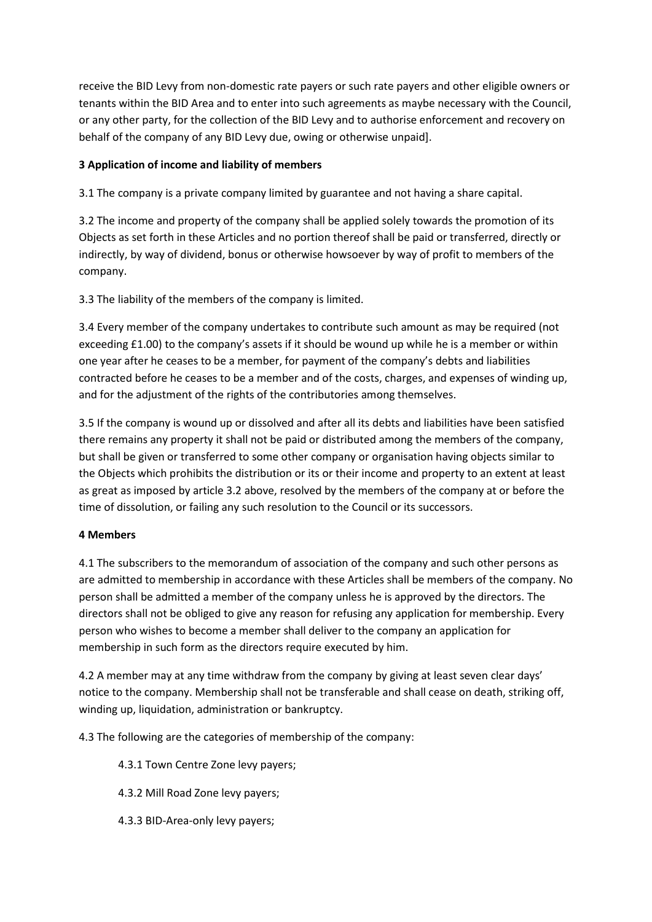receive the BID Levy from non-domestic rate payers or such rate payers and other eligible owners or tenants within the BID Area and to enter into such agreements as maybe necessary with the Council, or any other party, for the collection of the BID Levy and to authorise enforcement and recovery on behalf of the company of any BID Levy due, owing or otherwise unpaid].

## **3 Application of income and liability of members**

3.1 The company is a private company limited by guarantee and not having a share capital.

3.2 The income and property of the company shall be applied solely towards the promotion of its Objects as set forth in these Articles and no portion thereof shall be paid or transferred, directly or indirectly, by way of dividend, bonus or otherwise howsoever by way of profit to members of the company.

3.3 The liability of the members of the company is limited.

3.4 Every member of the company undertakes to contribute such amount as may be required (not exceeding £1.00) to the company's assets if it should be wound up while he is a member or within one year after he ceases to be a member, for payment of the company's debts and liabilities contracted before he ceases to be a member and of the costs, charges, and expenses of winding up, and for the adjustment of the rights of the contributories among themselves.

3.5 If the company is wound up or dissolved and after all its debts and liabilities have been satisfied there remains any property it shall not be paid or distributed among the members of the company, but shall be given or transferred to some other company or organisation having objects similar to the Objects which prohibits the distribution or its or their income and property to an extent at least as great as imposed by article 3.2 above, resolved by the members of the company at or before the time of dissolution, or failing any such resolution to the Council or its successors.

### **4 Members**

4.1 The subscribers to the memorandum of association of the company and such other persons as are admitted to membership in accordance with these Articles shall be members of the company. No person shall be admitted a member of the company unless he is approved by the directors. The directors shall not be obliged to give any reason for refusing any application for membership. Every person who wishes to become a member shall deliver to the company an application for membership in such form as the directors require executed by him.

4.2 A member may at any time withdraw from the company by giving at least seven clear days' notice to the company. Membership shall not be transferable and shall cease on death, striking off, winding up, liquidation, administration or bankruptcy.

4.3 The following are the categories of membership of the company:

4.3.1 Town Centre Zone levy payers;

- 4.3.2 Mill Road Zone levy payers;
- 4.3.3 BID-Area-only levy payers;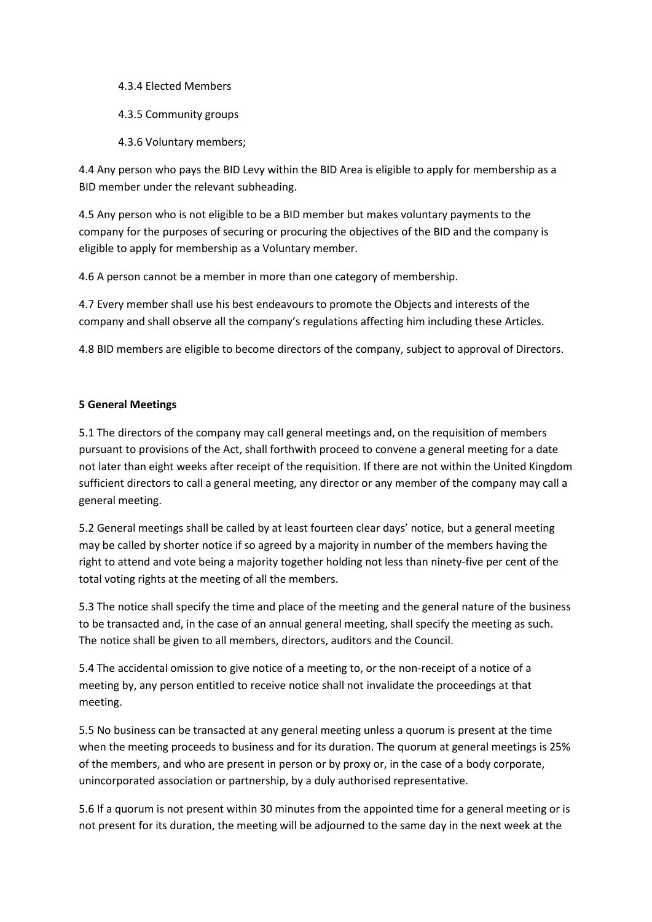- 4.3.4 Elected Members
- 4.3.5 Community groups
- 4.3.6 Voluntary members;

4.4 Any person who pays the BID Levy within the BID Area is eligible to apply for membership as a BID member under the relevant subheading.

4.5 Any person who is not eligible to be a BID member but makes voluntary payments to the company for the purposes of securing or procuring the objectives of the BID and the company is eligible to apply for membership as a Voluntary member.

4.6 A person cannot be a member in more than one category of membership.

4.7 Every member shall use his best endeavours to promote the Objects and interests of the company and shall observe all the company's regulations affecting him including these Articles.

4.8 BID members are eligible to become directors of the company, subject to approval of Directors.

# **5 General Meetings**

5.1 The directors of the company may call general meetings and, on the requisition of members pursuant to provisions of the Act, shall forthwith proceed to convene a general meeting for a date not later than eight weeks after receipt of the requisition. If there are not within the United Kingdom sufficient directors to call a general meeting, any director or any member of the company may call a general meeting.

5.2 General meetings shall be called by at least fourteen clear days' notice, but a general meeting may be called by shorter notice if so agreed by a majority in number of the members having the right to attend and vote being a majority together holding not less than ninety-five per cent of the total voting rights at the meeting of all the members.

5.3 The notice shall specify the time and place of the meeting and the general nature of the business to be transacted and, in the case of an annual general meeting, shall specify the meeting as such. The notice shall be given to all members, directors, auditors and the Council.

5.4 The accidental omission to give notice of a meeting to, or the non-receipt of a notice of a meeting by, any person entitled to receive notice shall not invalidate the proceedings at that meeting.

5.5 No business can be transacted at any general meeting unless a quorum is present at the time when the meeting proceeds to business and for its duration. The quorum at general meetings is 25% of the members, and who are present in person or by proxy or, in the case of a body corporate, unincorporated association or partnership, by a duly authorised representative.

5.6 If a quorum is not present within 30 minutes from the appointed time for a general meeting or is not present for its duration, the meeting will be adjourned to the same day in the next week at the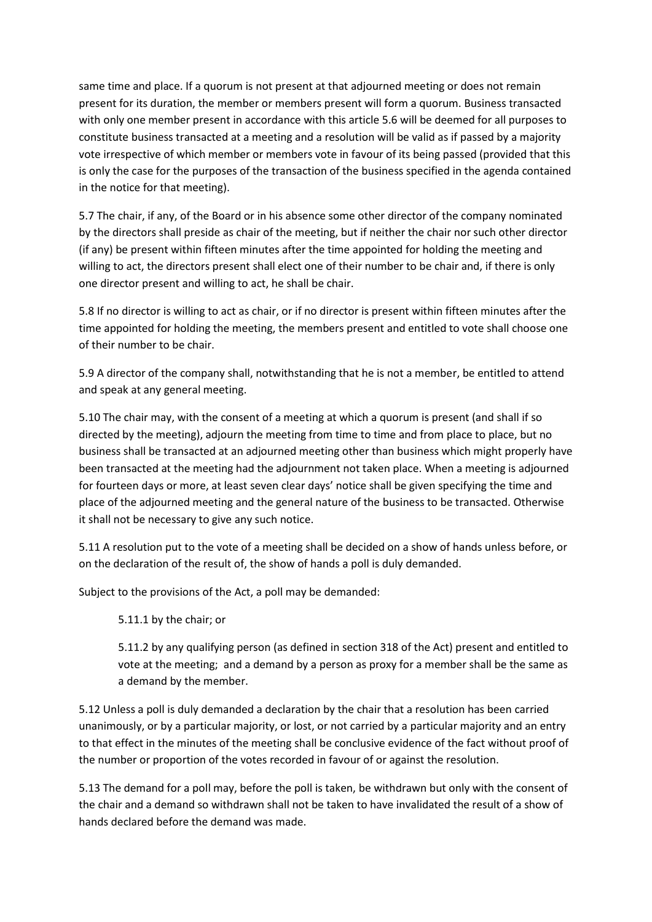same time and place. If a quorum is not present at that adjourned meeting or does not remain present for its duration, the member or members present will form a quorum. Business transacted with only one member present in accordance with this article 5.6 will be deemed for all purposes to constitute business transacted at a meeting and a resolution will be valid as if passed by a majority vote irrespective of which member or members vote in favour of its being passed (provided that this is only the case for the purposes of the transaction of the business specified in the agenda contained in the notice for that meeting).

5.7 The chair, if any, of the Board or in his absence some other director of the company nominated by the directors shall preside as chair of the meeting, but if neither the chair nor such other director (if any) be present within fifteen minutes after the time appointed for holding the meeting and willing to act, the directors present shall elect one of their number to be chair and, if there is only one director present and willing to act, he shall be chair.

5.8 If no director is willing to act as chair, or if no director is present within fifteen minutes after the time appointed for holding the meeting, the members present and entitled to vote shall choose one of their number to be chair.

5.9 A director of the company shall, notwithstanding that he is not a member, be entitled to attend and speak at any general meeting.

5.10 The chair may, with the consent of a meeting at which a quorum is present (and shall if so directed by the meeting), adjourn the meeting from time to time and from place to place, but no business shall be transacted at an adjourned meeting other than business which might properly have been transacted at the meeting had the adjournment not taken place. When a meeting is adjourned for fourteen days or more, at least seven clear days' notice shall be given specifying the time and place of the adjourned meeting and the general nature of the business to be transacted. Otherwise it shall not be necessary to give any such notice.

5.11 A resolution put to the vote of a meeting shall be decided on a show of hands unless before, or on the declaration of the result of, the show of hands a poll is duly demanded.

Subject to the provisions of the Act, a poll may be demanded:

5.11.1 by the chair; or

5.11.2 by any qualifying person (as defined in section 318 of the Act) present and entitled to vote at the meeting; and a demand by a person as proxy for a member shall be the same as a demand by the member.

5.12 Unless a poll is duly demanded a declaration by the chair that a resolution has been carried unanimously, or by a particular majority, or lost, or not carried by a particular majority and an entry to that effect in the minutes of the meeting shall be conclusive evidence of the fact without proof of the number or proportion of the votes recorded in favour of or against the resolution.

5.13 The demand for a poll may, before the poll is taken, be withdrawn but only with the consent of the chair and a demand so withdrawn shall not be taken to have invalidated the result of a show of hands declared before the demand was made.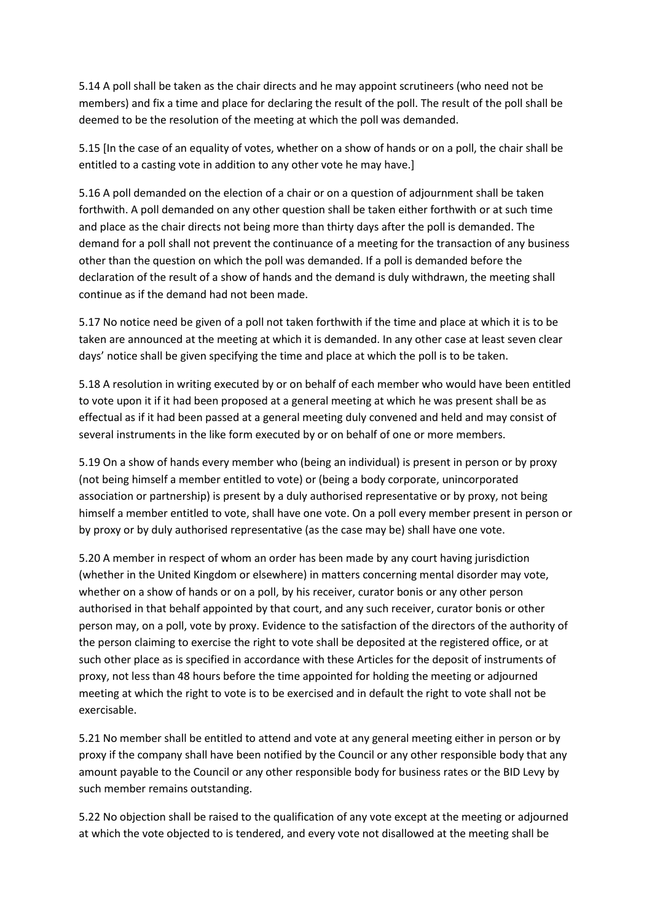5.14 A poll shall be taken as the chair directs and he may appoint scrutineers (who need not be members) and fix a time and place for declaring the result of the poll. The result of the poll shall be deemed to be the resolution of the meeting at which the poll was demanded.

5.15 [In the case of an equality of votes, whether on a show of hands or on a poll, the chair shall be entitled to a casting vote in addition to any other vote he may have.]

5.16 A poll demanded on the election of a chair or on a question of adjournment shall be taken forthwith. A poll demanded on any other question shall be taken either forthwith or at such time and place as the chair directs not being more than thirty days after the poll is demanded. The demand for a poll shall not prevent the continuance of a meeting for the transaction of any business other than the question on which the poll was demanded. If a poll is demanded before the declaration of the result of a show of hands and the demand is duly withdrawn, the meeting shall continue as if the demand had not been made.

5.17 No notice need be given of a poll not taken forthwith if the time and place at which it is to be taken are announced at the meeting at which it is demanded. In any other case at least seven clear days' notice shall be given specifying the time and place at which the poll is to be taken.

5.18 A resolution in writing executed by or on behalf of each member who would have been entitled to vote upon it if it had been proposed at a general meeting at which he was present shall be as effectual as if it had been passed at a general meeting duly convened and held and may consist of several instruments in the like form executed by or on behalf of one or more members.

5.19 On a show of hands every member who (being an individual) is present in person or by proxy (not being himself a member entitled to vote) or (being a body corporate, unincorporated association or partnership) is present by a duly authorised representative or by proxy, not being himself a member entitled to vote, shall have one vote. On a poll every member present in person or by proxy or by duly authorised representative (as the case may be) shall have one vote.

5.20 A member in respect of whom an order has been made by any court having jurisdiction (whether in the United Kingdom or elsewhere) in matters concerning mental disorder may vote, whether on a show of hands or on a poll, by his receiver, curator bonis or any other person authorised in that behalf appointed by that court, and any such receiver, curator bonis or other person may, on a poll, vote by proxy. Evidence to the satisfaction of the directors of the authority of the person claiming to exercise the right to vote shall be deposited at the registered office, or at such other place as is specified in accordance with these Articles for the deposit of instruments of proxy, not less than 48 hours before the time appointed for holding the meeting or adjourned meeting at which the right to vote is to be exercised and in default the right to vote shall not be exercisable.

5.21 No member shall be entitled to attend and vote at any general meeting either in person or by proxy if the company shall have been notified by the Council or any other responsible body that any amount payable to the Council or any other responsible body for business rates or the BID Levy by such member remains outstanding.

5.22 No objection shall be raised to the qualification of any vote except at the meeting or adjourned at which the vote objected to is tendered, and every vote not disallowed at the meeting shall be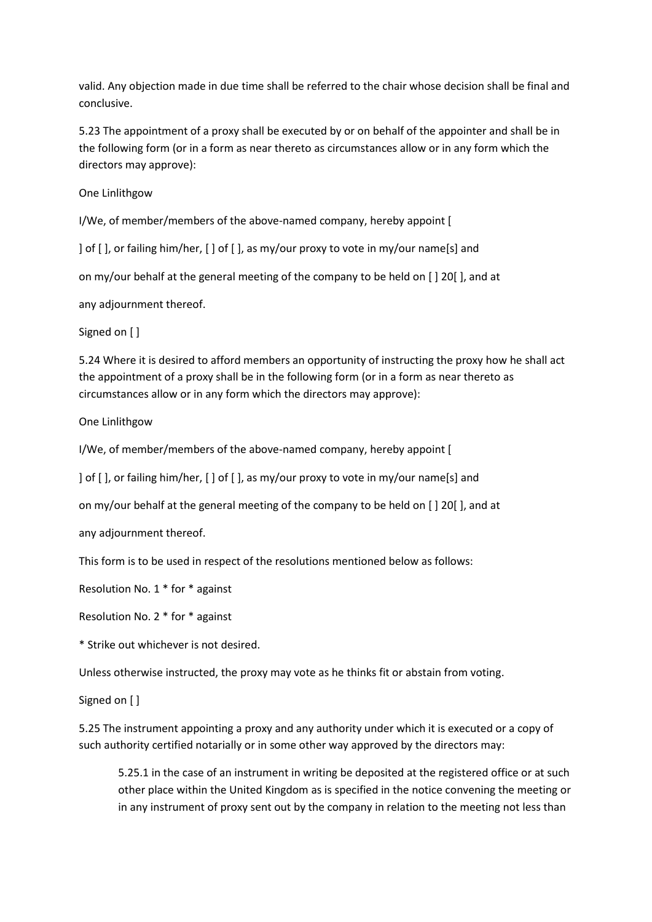valid. Any objection made in due time shall be referred to the chair whose decision shall be final and conclusive.

5.23 The appointment of a proxy shall be executed by or on behalf of the appointer and shall be in the following form (or in a form as near thereto as circumstances allow or in any form which the directors may approve):

One Linlithgow

I/We, of member/members of the above-named company, hereby appoint [

] of [ ], or failing him/her, [ ] of [ ], as my/our proxy to vote in my/our name[s] and

on my/our behalf at the general meeting of the company to be held on [ ] 20[ ], and at

any adjournment thereof.

Signed on [ ]

5.24 Where it is desired to afford members an opportunity of instructing the proxy how he shall act the appointment of a proxy shall be in the following form (or in a form as near thereto as circumstances allow or in any form which the directors may approve):

One Linlithgow

I/We, of member/members of the above-named company, hereby appoint [

] of [ ], or failing him/her, [ ] of [ ], as my/our proxy to vote in my/our name[s] and

on my/our behalf at the general meeting of the company to be held on [ ] 20[ ], and at

any adjournment thereof.

This form is to be used in respect of the resolutions mentioned below as follows:

Resolution No. 1 \* for \* against

Resolution No. 2 \* for \* against

\* Strike out whichever is not desired.

Unless otherwise instructed, the proxy may vote as he thinks fit or abstain from voting.

Signed on [ ]

5.25 The instrument appointing a proxy and any authority under which it is executed or a copy of such authority certified notarially or in some other way approved by the directors may:

5.25.1 in the case of an instrument in writing be deposited at the registered office or at such other place within the United Kingdom as is specified in the notice convening the meeting or in any instrument of proxy sent out by the company in relation to the meeting not less than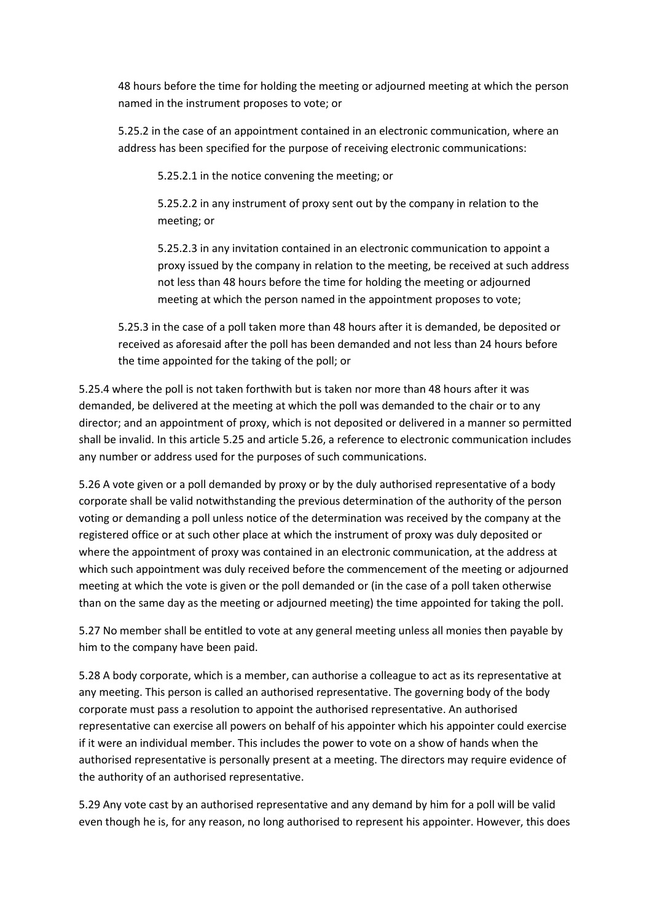48 hours before the time for holding the meeting or adjourned meeting at which the person named in the instrument proposes to vote; or

5.25.2 in the case of an appointment contained in an electronic communication, where an address has been specified for the purpose of receiving electronic communications:

5.25.2.1 in the notice convening the meeting; or

5.25.2.2 in any instrument of proxy sent out by the company in relation to the meeting; or

5.25.2.3 in any invitation contained in an electronic communication to appoint a proxy issued by the company in relation to the meeting, be received at such address not less than 48 hours before the time for holding the meeting or adjourned meeting at which the person named in the appointment proposes to vote;

5.25.3 in the case of a poll taken more than 48 hours after it is demanded, be deposited or received as aforesaid after the poll has been demanded and not less than 24 hours before the time appointed for the taking of the poll; or

5.25.4 where the poll is not taken forthwith but is taken nor more than 48 hours after it was demanded, be delivered at the meeting at which the poll was demanded to the chair or to any director; and an appointment of proxy, which is not deposited or delivered in a manner so permitted shall be invalid. In this article 5.25 and article 5.26, a reference to electronic communication includes any number or address used for the purposes of such communications.

5.26 A vote given or a poll demanded by proxy or by the duly authorised representative of a body corporate shall be valid notwithstanding the previous determination of the authority of the person voting or demanding a poll unless notice of the determination was received by the company at the registered office or at such other place at which the instrument of proxy was duly deposited or where the appointment of proxy was contained in an electronic communication, at the address at which such appointment was duly received before the commencement of the meeting or adjourned meeting at which the vote is given or the poll demanded or (in the case of a poll taken otherwise than on the same day as the meeting or adjourned meeting) the time appointed for taking the poll.

5.27 No member shall be entitled to vote at any general meeting unless all monies then payable by him to the company have been paid.

5.28 A body corporate, which is a member, can authorise a colleague to act as its representative at any meeting. This person is called an authorised representative. The governing body of the body corporate must pass a resolution to appoint the authorised representative. An authorised representative can exercise all powers on behalf of his appointer which his appointer could exercise if it were an individual member. This includes the power to vote on a show of hands when the authorised representative is personally present at a meeting. The directors may require evidence of the authority of an authorised representative.

5.29 Any vote cast by an authorised representative and any demand by him for a poll will be valid even though he is, for any reason, no long authorised to represent his appointer. However, this does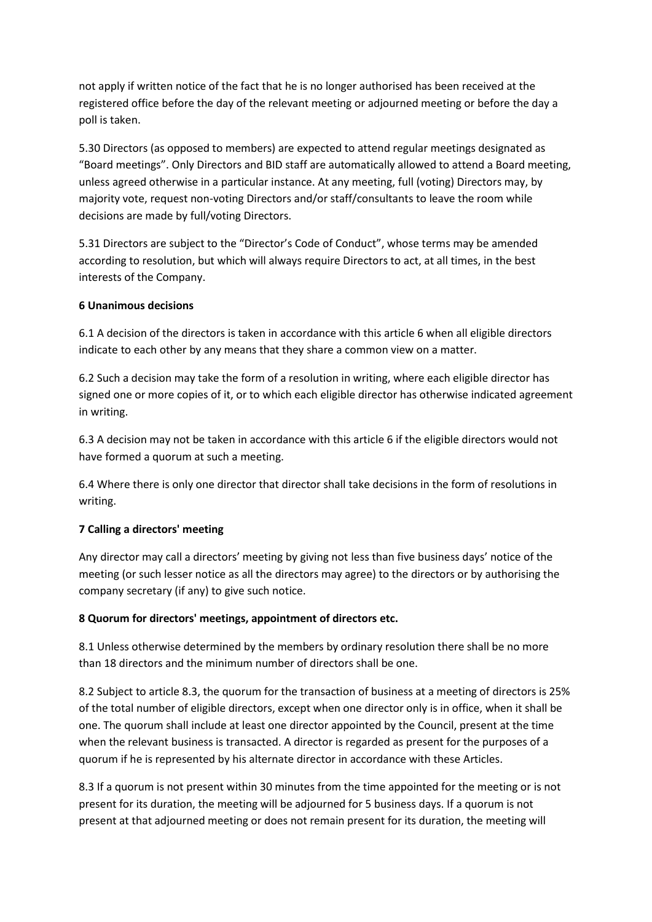not apply if written notice of the fact that he is no longer authorised has been received at the registered office before the day of the relevant meeting or adjourned meeting or before the day a poll is taken.

5.30 Directors (as opposed to members) are expected to attend regular meetings designated as "Board meetings". Only Directors and BID staff are automatically allowed to attend a Board meeting, unless agreed otherwise in a particular instance. At any meeting, full (voting) Directors may, by majority vote, request non-voting Directors and/or staff/consultants to leave the room while decisions are made by full/voting Directors.

5.31 Directors are subject to the "Director's Code of Conduct", whose terms may be amended according to resolution, but which will always require Directors to act, at all times, in the best interests of the Company.

### **6 Unanimous decisions**

6.1 A decision of the directors is taken in accordance with this article 6 when all eligible directors indicate to each other by any means that they share a common view on a matter.

6.2 Such a decision may take the form of a resolution in writing, where each eligible director has signed one or more copies of it, or to which each eligible director has otherwise indicated agreement in writing.

6.3 A decision may not be taken in accordance with this article 6 if the eligible directors would not have formed a quorum at such a meeting.

6.4 Where there is only one director that director shall take decisions in the form of resolutions in writing.

## **7 Calling a directors' meeting**

Any director may call a directors' meeting by giving not less than five business days' notice of the meeting (or such lesser notice as all the directors may agree) to the directors or by authorising the company secretary (if any) to give such notice.

### **8 Quorum for directors' meetings, appointment of directors etc.**

8.1 Unless otherwise determined by the members by ordinary resolution there shall be no more than 18 directors and the minimum number of directors shall be one.

8.2 Subject to article 8.3, the quorum for the transaction of business at a meeting of directors is 25% of the total number of eligible directors, except when one director only is in office, when it shall be one. The quorum shall include at least one director appointed by the Council, present at the time when the relevant business is transacted. A director is regarded as present for the purposes of a quorum if he is represented by his alternate director in accordance with these Articles.

8.3 If a quorum is not present within 30 minutes from the time appointed for the meeting or is not present for its duration, the meeting will be adjourned for 5 business days. If a quorum is not present at that adjourned meeting or does not remain present for its duration, the meeting will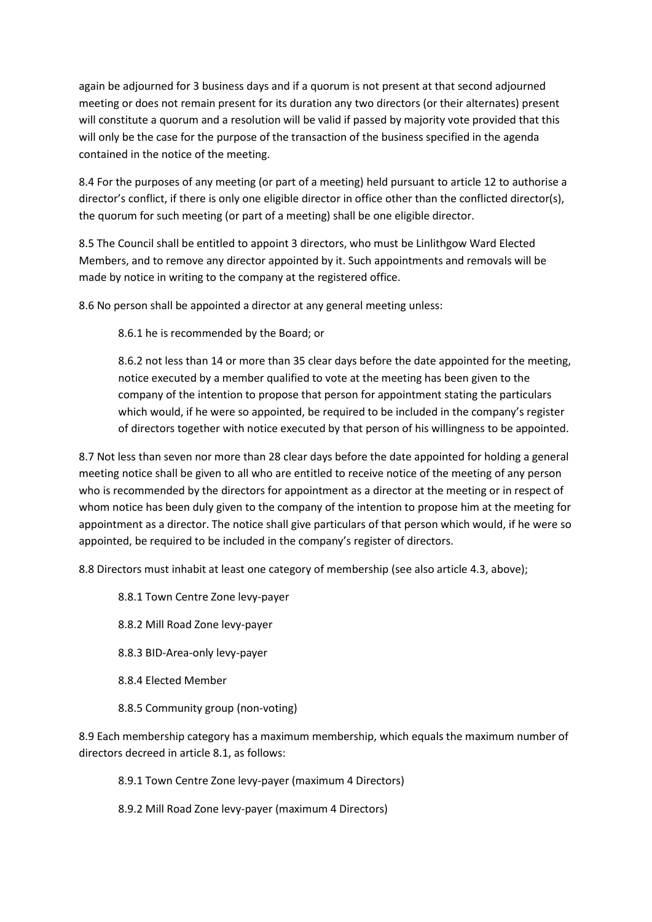again be adjourned for 3 business days and if a quorum is not present at that second adjourned meeting or does not remain present for its duration any two directors (or their alternates) present will constitute a quorum and a resolution will be valid if passed by majority vote provided that this will only be the case for the purpose of the transaction of the business specified in the agenda contained in the notice of the meeting.

8.4 For the purposes of any meeting (or part of a meeting) held pursuant to article 12 to authorise a director's conflict, if there is only one eligible director in office other than the conflicted director(s), the quorum for such meeting (or part of a meeting) shall be one eligible director.

8.5 The Council shall be entitled to appoint 3 directors, who must be Linlithgow Ward Elected Members, and to remove any director appointed by it. Such appointments and removals will be made by notice in writing to the company at the registered office.

8.6 No person shall be appointed a director at any general meeting unless:

8.6.1 he is recommended by the Board; or

8.6.2 not less than 14 or more than 35 clear days before the date appointed for the meeting, notice executed by a member qualified to vote at the meeting has been given to the company of the intention to propose that person for appointment stating the particulars which would, if he were so appointed, be required to be included in the company's register of directors together with notice executed by that person of his willingness to be appointed.

8.7 Not less than seven nor more than 28 clear days before the date appointed for holding a general meeting notice shall be given to all who are entitled to receive notice of the meeting of any person who is recommended by the directors for appointment as a director at the meeting or in respect of whom notice has been duly given to the company of the intention to propose him at the meeting for appointment as a director. The notice shall give particulars of that person which would, if he were so appointed, be required to be included in the company's register of directors.

8.8 Directors must inhabit at least one category of membership (see also article 4.3, above);

8.8.1 Town Centre Zone levy-payer

8.8.2 Mill Road Zone levy-payer

8.8.3 BID-Area-only levy-payer

8.8.4 Elected Member

8.8.5 Community group (non-voting)

8.9 Each membership category has a maximum membership, which equals the maximum number of directors decreed in article 8.1, as follows:

8.9.1 Town Centre Zone levy-payer (maximum 4 Directors)

8.9.2 Mill Road Zone levy-payer (maximum 4 Directors)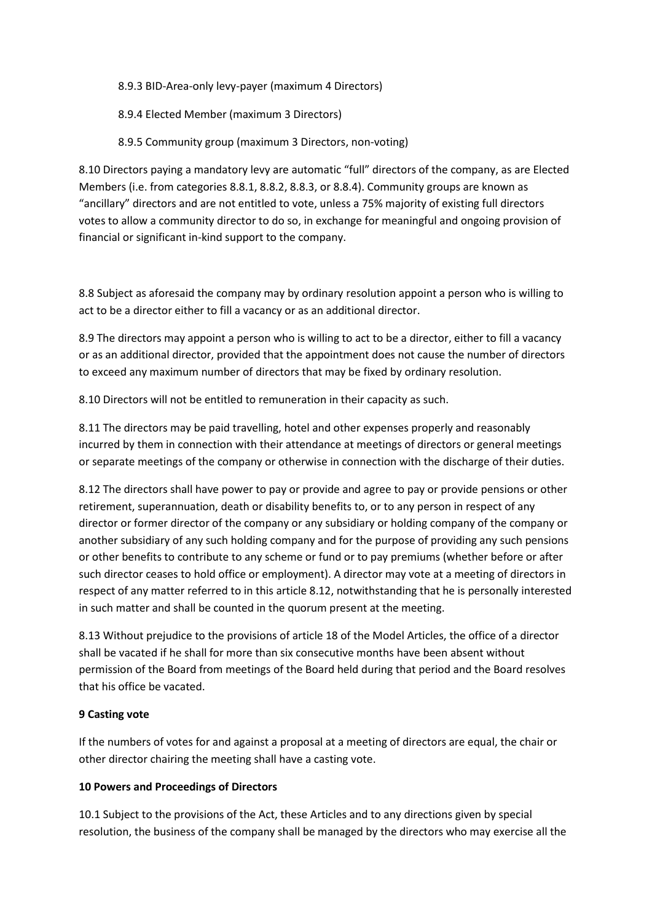8.9.3 BID-Area-only levy-payer (maximum 4 Directors)

8.9.4 Elected Member (maximum 3 Directors)

8.9.5 Community group (maximum 3 Directors, non-voting)

8.10 Directors paying a mandatory levy are automatic "full" directors of the company, as are Elected Members (i.e. from categories 8.8.1, 8.8.2, 8.8.3, or 8.8.4). Community groups are known as "ancillary" directors and are not entitled to vote, unless a 75% majority of existing full directors votes to allow a community director to do so, in exchange for meaningful and ongoing provision of financial or significant in-kind support to the company.

8.8 Subject as aforesaid the company may by ordinary resolution appoint a person who is willing to act to be a director either to fill a vacancy or as an additional director.

8.9 The directors may appoint a person who is willing to act to be a director, either to fill a vacancy or as an additional director, provided that the appointment does not cause the number of directors to exceed any maximum number of directors that may be fixed by ordinary resolution.

8.10 Directors will not be entitled to remuneration in their capacity as such.

8.11 The directors may be paid travelling, hotel and other expenses properly and reasonably incurred by them in connection with their attendance at meetings of directors or general meetings or separate meetings of the company or otherwise in connection with the discharge of their duties.

8.12 The directors shall have power to pay or provide and agree to pay or provide pensions or other retirement, superannuation, death or disability benefits to, or to any person in respect of any director or former director of the company or any subsidiary or holding company of the company or another subsidiary of any such holding company and for the purpose of providing any such pensions or other benefits to contribute to any scheme or fund or to pay premiums (whether before or after such director ceases to hold office or employment). A director may vote at a meeting of directors in respect of any matter referred to in this article 8.12, notwithstanding that he is personally interested in such matter and shall be counted in the quorum present at the meeting.

8.13 Without prejudice to the provisions of article 18 of the Model Articles, the office of a director shall be vacated if he shall for more than six consecutive months have been absent without permission of the Board from meetings of the Board held during that period and the Board resolves that his office be vacated.

### **9 Casting vote**

If the numbers of votes for and against a proposal at a meeting of directors are equal, the chair or other director chairing the meeting shall have a casting vote.

### **10 Powers and Proceedings of Directors**

10.1 Subject to the provisions of the Act, these Articles and to any directions given by special resolution, the business of the company shall be managed by the directors who may exercise all the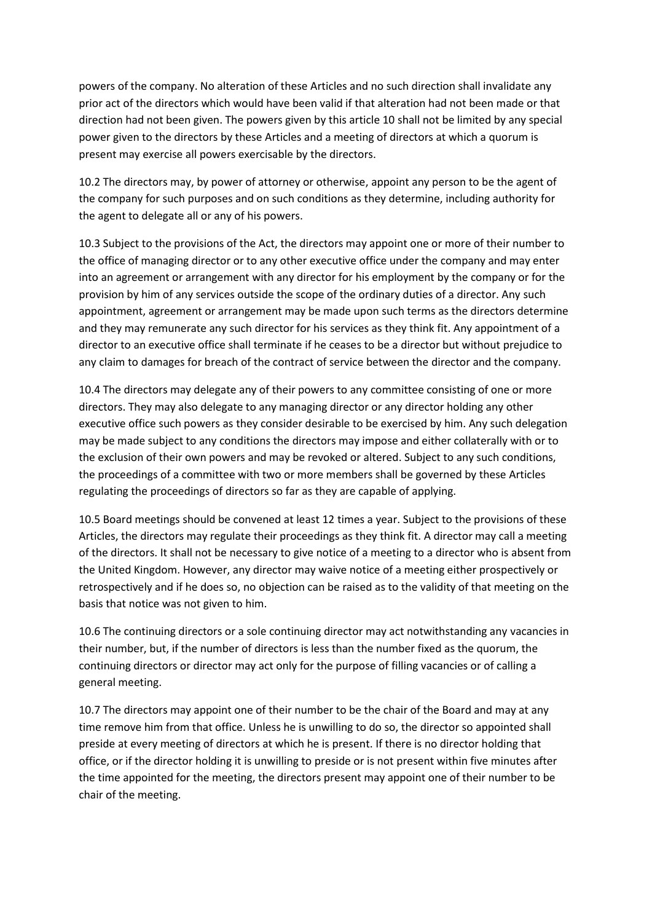powers of the company. No alteration of these Articles and no such direction shall invalidate any prior act of the directors which would have been valid if that alteration had not been made or that direction had not been given. The powers given by this article 10 shall not be limited by any special power given to the directors by these Articles and a meeting of directors at which a quorum is present may exercise all powers exercisable by the directors.

10.2 The directors may, by power of attorney or otherwise, appoint any person to be the agent of the company for such purposes and on such conditions as they determine, including authority for the agent to delegate all or any of his powers.

10.3 Subject to the provisions of the Act, the directors may appoint one or more of their number to the office of managing director or to any other executive office under the company and may enter into an agreement or arrangement with any director for his employment by the company or for the provision by him of any services outside the scope of the ordinary duties of a director. Any such appointment, agreement or arrangement may be made upon such terms as the directors determine and they may remunerate any such director for his services as they think fit. Any appointment of a director to an executive office shall terminate if he ceases to be a director but without prejudice to any claim to damages for breach of the contract of service between the director and the company.

10.4 The directors may delegate any of their powers to any committee consisting of one or more directors. They may also delegate to any managing director or any director holding any other executive office such powers as they consider desirable to be exercised by him. Any such delegation may be made subject to any conditions the directors may impose and either collaterally with or to the exclusion of their own powers and may be revoked or altered. Subject to any such conditions, the proceedings of a committee with two or more members shall be governed by these Articles regulating the proceedings of directors so far as they are capable of applying.

10.5 Board meetings should be convened at least 12 times a year. Subject to the provisions of these Articles, the directors may regulate their proceedings as they think fit. A director may call a meeting of the directors. It shall not be necessary to give notice of a meeting to a director who is absent from the United Kingdom. However, any director may waive notice of a meeting either prospectively or retrospectively and if he does so, no objection can be raised as to the validity of that meeting on the basis that notice was not given to him.

10.6 The continuing directors or a sole continuing director may act notwithstanding any vacancies in their number, but, if the number of directors is less than the number fixed as the quorum, the continuing directors or director may act only for the purpose of filling vacancies or of calling a general meeting.

10.7 The directors may appoint one of their number to be the chair of the Board and may at any time remove him from that office. Unless he is unwilling to do so, the director so appointed shall preside at every meeting of directors at which he is present. If there is no director holding that office, or if the director holding it is unwilling to preside or is not present within five minutes after the time appointed for the meeting, the directors present may appoint one of their number to be chair of the meeting.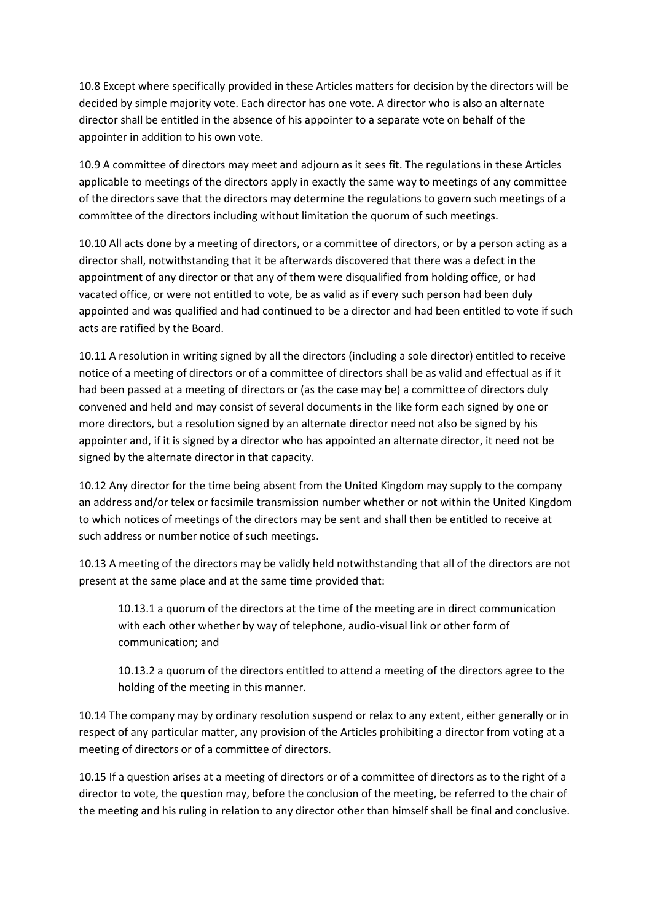10.8 Except where specifically provided in these Articles matters for decision by the directors will be decided by simple majority vote. Each director has one vote. A director who is also an alternate director shall be entitled in the absence of his appointer to a separate vote on behalf of the appointer in addition to his own vote.

10.9 A committee of directors may meet and adjourn as it sees fit. The regulations in these Articles applicable to meetings of the directors apply in exactly the same way to meetings of any committee of the directors save that the directors may determine the regulations to govern such meetings of a committee of the directors including without limitation the quorum of such meetings.

10.10 All acts done by a meeting of directors, or a committee of directors, or by a person acting as a director shall, notwithstanding that it be afterwards discovered that there was a defect in the appointment of any director or that any of them were disqualified from holding office, or had vacated office, or were not entitled to vote, be as valid as if every such person had been duly appointed and was qualified and had continued to be a director and had been entitled to vote if such acts are ratified by the Board.

10.11 A resolution in writing signed by all the directors (including a sole director) entitled to receive notice of a meeting of directors or of a committee of directors shall be as valid and effectual as if it had been passed at a meeting of directors or (as the case may be) a committee of directors duly convened and held and may consist of several documents in the like form each signed by one or more directors, but a resolution signed by an alternate director need not also be signed by his appointer and, if it is signed by a director who has appointed an alternate director, it need not be signed by the alternate director in that capacity.

10.12 Any director for the time being absent from the United Kingdom may supply to the company an address and/or telex or facsimile transmission number whether or not within the United Kingdom to which notices of meetings of the directors may be sent and shall then be entitled to receive at such address or number notice of such meetings.

10.13 A meeting of the directors may be validly held notwithstanding that all of the directors are not present at the same place and at the same time provided that:

10.13.1 a quorum of the directors at the time of the meeting are in direct communication with each other whether by way of telephone, audio-visual link or other form of communication; and

10.13.2 a quorum of the directors entitled to attend a meeting of the directors agree to the holding of the meeting in this manner.

10.14 The company may by ordinary resolution suspend or relax to any extent, either generally or in respect of any particular matter, any provision of the Articles prohibiting a director from voting at a meeting of directors or of a committee of directors.

10.15 If a question arises at a meeting of directors or of a committee of directors as to the right of a director to vote, the question may, before the conclusion of the meeting, be referred to the chair of the meeting and his ruling in relation to any director other than himself shall be final and conclusive.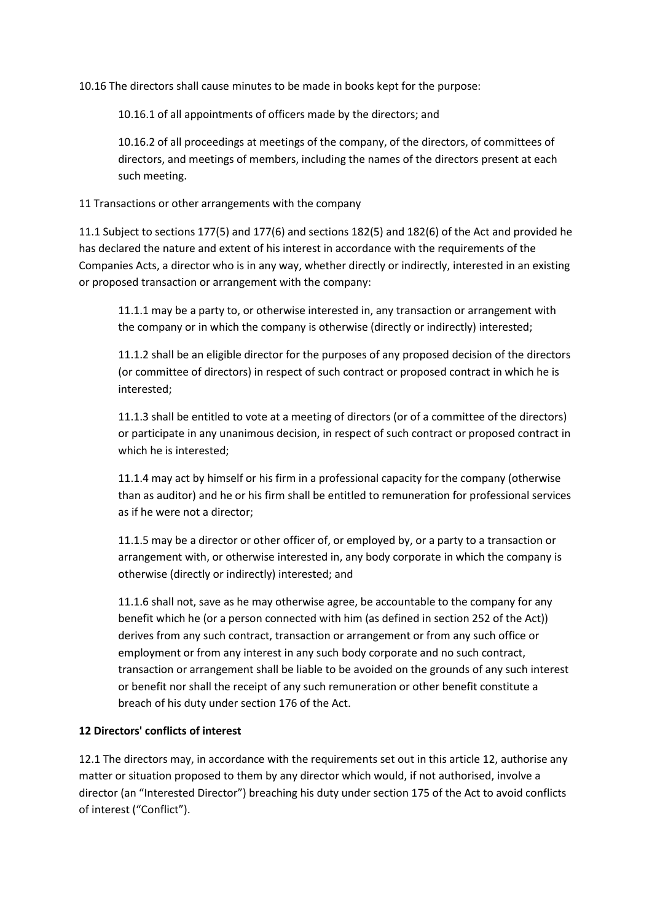10.16 The directors shall cause minutes to be made in books kept for the purpose:

10.16.1 of all appointments of officers made by the directors; and

10.16.2 of all proceedings at meetings of the company, of the directors, of committees of directors, and meetings of members, including the names of the directors present at each such meeting.

11 Transactions or other arrangements with the company

11.1 Subject to sections 177(5) and 177(6) and sections 182(5) and 182(6) of the Act and provided he has declared the nature and extent of his interest in accordance with the requirements of the Companies Acts, a director who is in any way, whether directly or indirectly, interested in an existing or proposed transaction or arrangement with the company:

11.1.1 may be a party to, or otherwise interested in, any transaction or arrangement with the company or in which the company is otherwise (directly or indirectly) interested;

11.1.2 shall be an eligible director for the purposes of any proposed decision of the directors (or committee of directors) in respect of such contract or proposed contract in which he is interested;

11.1.3 shall be entitled to vote at a meeting of directors (or of a committee of the directors) or participate in any unanimous decision, in respect of such contract or proposed contract in which he is interested;

11.1.4 may act by himself or his firm in a professional capacity for the company (otherwise than as auditor) and he or his firm shall be entitled to remuneration for professional services as if he were not a director;

11.1.5 may be a director or other officer of, or employed by, or a party to a transaction or arrangement with, or otherwise interested in, any body corporate in which the company is otherwise (directly or indirectly) interested; and

11.1.6 shall not, save as he may otherwise agree, be accountable to the company for any benefit which he (or a person connected with him (as defined in section 252 of the Act)) derives from any such contract, transaction or arrangement or from any such office or employment or from any interest in any such body corporate and no such contract, transaction or arrangement shall be liable to be avoided on the grounds of any such interest or benefit nor shall the receipt of any such remuneration or other benefit constitute a breach of his duty under section 176 of the Act.

## **12 Directors' conflicts of interest**

12.1 The directors may, in accordance with the requirements set out in this article 12, authorise any matter or situation proposed to them by any director which would, if not authorised, involve a director (an "Interested Director") breaching his duty under section 175 of the Act to avoid conflicts of interest ("Conflict").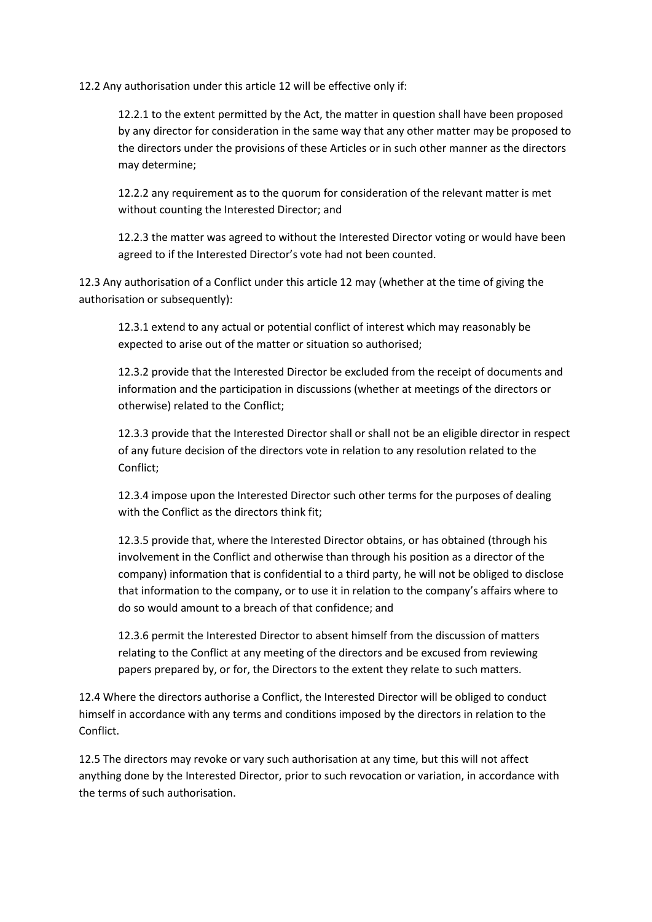12.2 Any authorisation under this article 12 will be effective only if:

12.2.1 to the extent permitted by the Act, the matter in question shall have been proposed by any director for consideration in the same way that any other matter may be proposed to the directors under the provisions of these Articles or in such other manner as the directors may determine;

12.2.2 any requirement as to the quorum for consideration of the relevant matter is met without counting the Interested Director; and

12.2.3 the matter was agreed to without the Interested Director voting or would have been agreed to if the Interested Director's vote had not been counted.

12.3 Any authorisation of a Conflict under this article 12 may (whether at the time of giving the authorisation or subsequently):

12.3.1 extend to any actual or potential conflict of interest which may reasonably be expected to arise out of the matter or situation so authorised;

12.3.2 provide that the Interested Director be excluded from the receipt of documents and information and the participation in discussions (whether at meetings of the directors or otherwise) related to the Conflict;

12.3.3 provide that the Interested Director shall or shall not be an eligible director in respect of any future decision of the directors vote in relation to any resolution related to the Conflict;

12.3.4 impose upon the Interested Director such other terms for the purposes of dealing with the Conflict as the directors think fit;

12.3.5 provide that, where the Interested Director obtains, or has obtained (through his involvement in the Conflict and otherwise than through his position as a director of the company) information that is confidential to a third party, he will not be obliged to disclose that information to the company, or to use it in relation to the company's affairs where to do so would amount to a breach of that confidence; and

12.3.6 permit the Interested Director to absent himself from the discussion of matters relating to the Conflict at any meeting of the directors and be excused from reviewing papers prepared by, or for, the Directors to the extent they relate to such matters.

12.4 Where the directors authorise a Conflict, the Interested Director will be obliged to conduct himself in accordance with any terms and conditions imposed by the directors in relation to the Conflict.

12.5 The directors may revoke or vary such authorisation at any time, but this will not affect anything done by the Interested Director, prior to such revocation or variation, in accordance with the terms of such authorisation.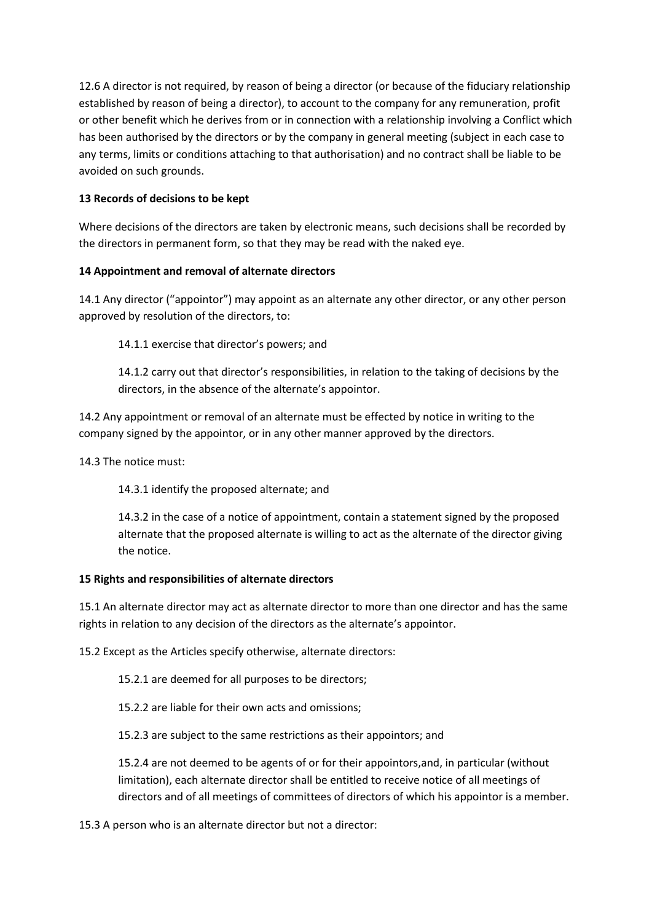12.6 A director is not required, by reason of being a director (or because of the fiduciary relationship established by reason of being a director), to account to the company for any remuneration, profit or other benefit which he derives from or in connection with a relationship involving a Conflict which has been authorised by the directors or by the company in general meeting (subject in each case to any terms, limits or conditions attaching to that authorisation) and no contract shall be liable to be avoided on such grounds.

## **13 Records of decisions to be kept**

Where decisions of the directors are taken by electronic means, such decisions shall be recorded by the directors in permanent form, so that they may be read with the naked eye.

### **14 Appointment and removal of alternate directors**

14.1 Any director ("appointor") may appoint as an alternate any other director, or any other person approved by resolution of the directors, to:

14.1.1 exercise that director's powers; and

14.1.2 carry out that director's responsibilities, in relation to the taking of decisions by the directors, in the absence of the alternate's appointor.

14.2 Any appointment or removal of an alternate must be effected by notice in writing to the company signed by the appointor, or in any other manner approved by the directors.

14.3 The notice must:

14.3.1 identify the proposed alternate; and

14.3.2 in the case of a notice of appointment, contain a statement signed by the proposed alternate that the proposed alternate is willing to act as the alternate of the director giving the notice.

### **15 Rights and responsibilities of alternate directors**

15.1 An alternate director may act as alternate director to more than one director and has the same rights in relation to any decision of the directors as the alternate's appointor.

15.2 Except as the Articles specify otherwise, alternate directors:

15.2.1 are deemed for all purposes to be directors;

15.2.2 are liable for their own acts and omissions;

15.2.3 are subject to the same restrictions as their appointors; and

15.2.4 are not deemed to be agents of or for their appointors,and, in particular (without limitation), each alternate director shall be entitled to receive notice of all meetings of directors and of all meetings of committees of directors of which his appointor is a member.

15.3 A person who is an alternate director but not a director: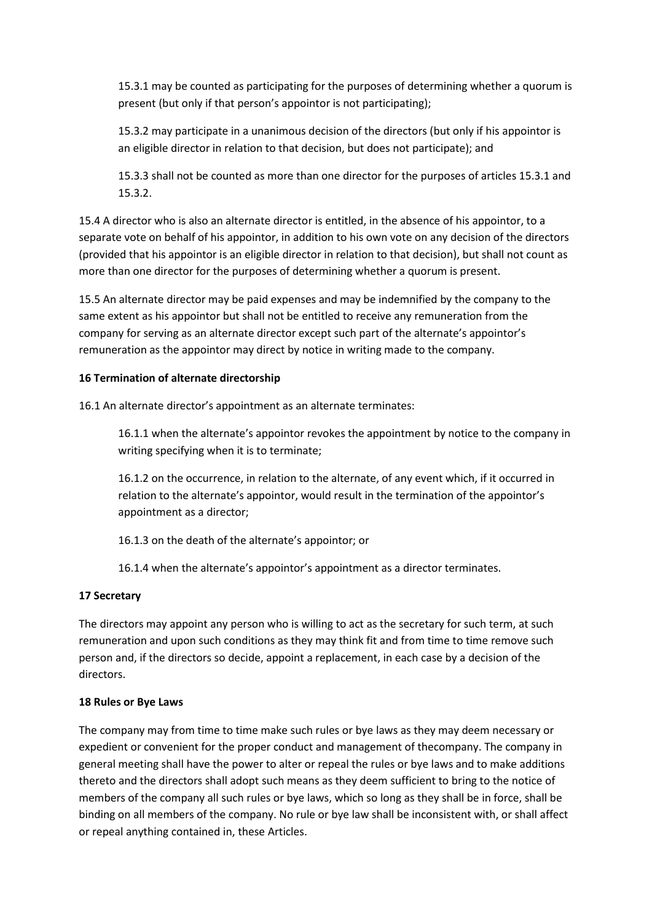15.3.1 may be counted as participating for the purposes of determining whether a quorum is present (but only if that person's appointor is not participating);

15.3.2 may participate in a unanimous decision of the directors (but only if his appointor is an eligible director in relation to that decision, but does not participate); and

15.3.3 shall not be counted as more than one director for the purposes of articles 15.3.1 and 15.3.2.

15.4 A director who is also an alternate director is entitled, in the absence of his appointor, to a separate vote on behalf of his appointor, in addition to his own vote on any decision of the directors (provided that his appointor is an eligible director in relation to that decision), but shall not count as more than one director for the purposes of determining whether a quorum is present.

15.5 An alternate director may be paid expenses and may be indemnified by the company to the same extent as his appointor but shall not be entitled to receive any remuneration from the company for serving as an alternate director except such part of the alternate's appointor's remuneration as the appointor may direct by notice in writing made to the company.

## **16 Termination of alternate directorship**

16.1 An alternate director's appointment as an alternate terminates:

16.1.1 when the alternate's appointor revokes the appointment by notice to the company in writing specifying when it is to terminate;

16.1.2 on the occurrence, in relation to the alternate, of any event which, if it occurred in relation to the alternate's appointor, would result in the termination of the appointor's appointment as a director;

16.1.3 on the death of the alternate's appointor; or

16.1.4 when the alternate's appointor's appointment as a director terminates.

### **17 Secretary**

The directors may appoint any person who is willing to act as the secretary for such term, at such remuneration and upon such conditions as they may think fit and from time to time remove such person and, if the directors so decide, appoint a replacement, in each case by a decision of the directors.

### **18 Rules or Bye Laws**

The company may from time to time make such rules or bye laws as they may deem necessary or expedient or convenient for the proper conduct and management of thecompany. The company in general meeting shall have the power to alter or repeal the rules or bye laws and to make additions thereto and the directors shall adopt such means as they deem sufficient to bring to the notice of members of the company all such rules or bye laws, which so long as they shall be in force, shall be binding on all members of the company. No rule or bye law shall be inconsistent with, or shall affect or repeal anything contained in, these Articles.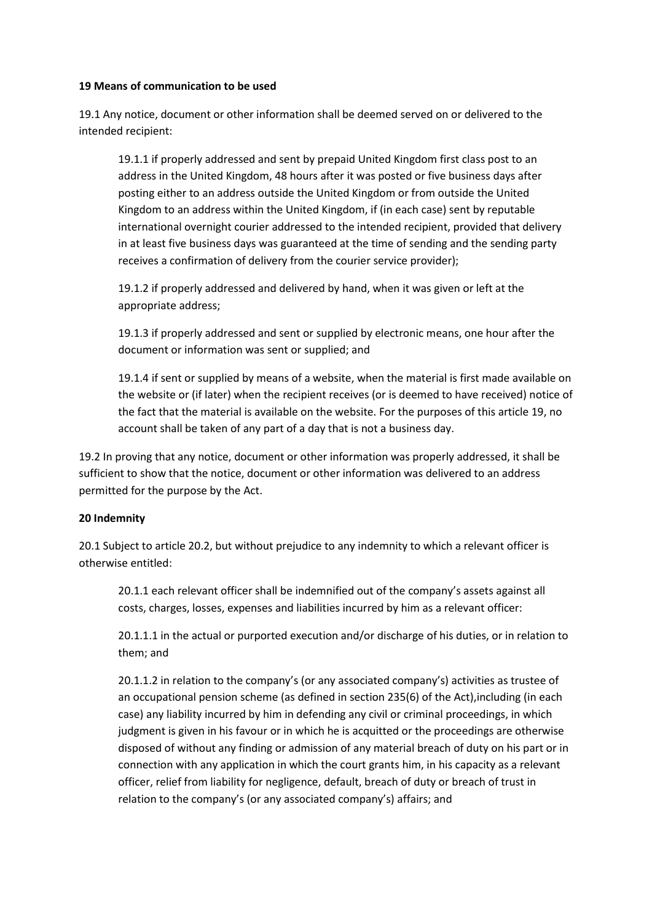### **19 Means of communication to be used**

19.1 Any notice, document or other information shall be deemed served on or delivered to the intended recipient:

19.1.1 if properly addressed and sent by prepaid United Kingdom first class post to an address in the United Kingdom, 48 hours after it was posted or five business days after posting either to an address outside the United Kingdom or from outside the United Kingdom to an address within the United Kingdom, if (in each case) sent by reputable international overnight courier addressed to the intended recipient, provided that delivery in at least five business days was guaranteed at the time of sending and the sending party receives a confirmation of delivery from the courier service provider);

19.1.2 if properly addressed and delivered by hand, when it was given or left at the appropriate address;

19.1.3 if properly addressed and sent or supplied by electronic means, one hour after the document or information was sent or supplied; and

19.1.4 if sent or supplied by means of a website, when the material is first made available on the website or (if later) when the recipient receives (or is deemed to have received) notice of the fact that the material is available on the website. For the purposes of this article 19, no account shall be taken of any part of a day that is not a business day.

19.2 In proving that any notice, document or other information was properly addressed, it shall be sufficient to show that the notice, document or other information was delivered to an address permitted for the purpose by the Act.

### **20 Indemnity**

20.1 Subject to article 20.2, but without prejudice to any indemnity to which a relevant officer is otherwise entitled:

20.1.1 each relevant officer shall be indemnified out of the company's assets against all costs, charges, losses, expenses and liabilities incurred by him as a relevant officer:

20.1.1.1 in the actual or purported execution and/or discharge of his duties, or in relation to them; and

20.1.1.2 in relation to the company's (or any associated company's) activities as trustee of an occupational pension scheme (as defined in section 235(6) of the Act),including (in each case) any liability incurred by him in defending any civil or criminal proceedings, in which judgment is given in his favour or in which he is acquitted or the proceedings are otherwise disposed of without any finding or admission of any material breach of duty on his part or in connection with any application in which the court grants him, in his capacity as a relevant officer, relief from liability for negligence, default, breach of duty or breach of trust in relation to the company's (or any associated company's) affairs; and